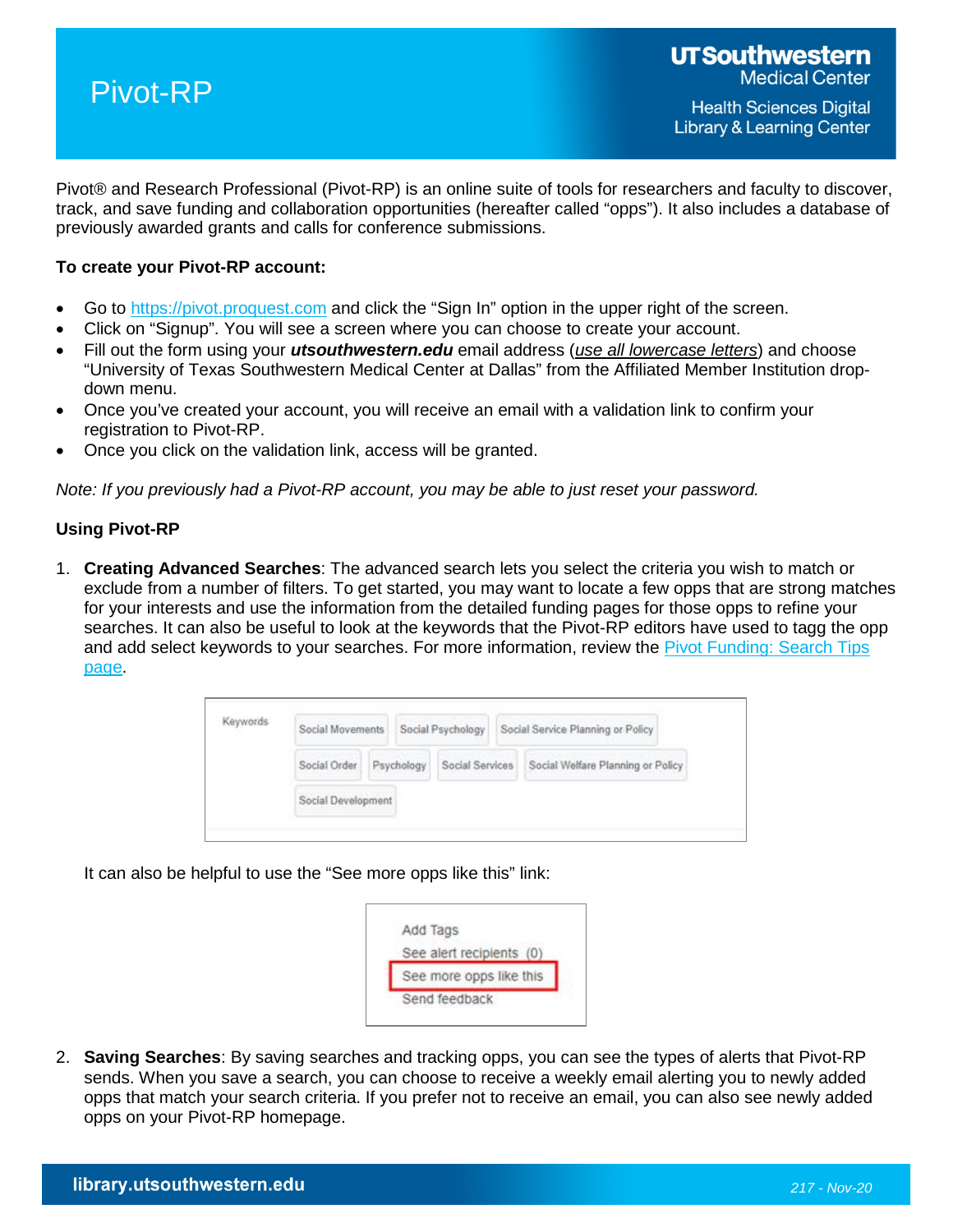

Pivot® and Research Professional (Pivot-RP) is an online suite of tools for researchers and faculty to discover, track, and save funding and collaboration opportunities (hereafter called "opps"). It also includes a database of previously awarded grants and calls for conference submissions.

### **To create your Pivot-RP account:**

- Go to [https://pivot.proquest.com](https://pivot.proquest.com/) and click the "Sign In" option in the upper right of the screen.
- Click on "Signup". You will see a screen where you can choose to create your account.
- Fill out the form using your *utsouthwestern.edu* email address (*use all lowercase letters*) and choose "University of Texas Southwestern Medical Center at Dallas" from the Affiliated Member Institution dropdown menu.
- Once you've created your account, you will receive an email with a validation link to confirm your registration to Pivot-RP.
- Once you click on the validation link, access will be granted.

*Note: If you previously had a Pivot-RP account, you may be able to just reset your password.*

#### **Using Pivot-RP**

1. **Creating Advanced Searches**: The advanced search lets you select the criteria you wish to match or exclude from a number of filters. To get started, you may want to locate a few opps that are strong matches for your interests and use the information from the detailed funding pages for those opps to refine your searches. It can also be useful to look at the keywords that the Pivot-RP editors have used to tagg the opp and add select keywords to your searches. For more information, review the [Pivot Funding: Search Tips](https://knowledge.exlibrisgroup.com/Pivot/Knowledge_Articles/Funding/040Pivot_Funding%3A_Search_Tips)  [page.](https://knowledge.exlibrisgroup.com/Pivot/Knowledge_Articles/Funding/040Pivot_Funding%3A_Search_Tips)



It can also be helpful to use the "See more opps like this" link:



2. **Saving Searches**: By saving searches and tracking opps, you can see the types of alerts that Pivot-RP sends. When you save a search, you can choose to receive a weekly email alerting you to newly added opps that match your search criteria. If you prefer not to receive an email, you can also see newly added opps on your Pivot-RP homepage.